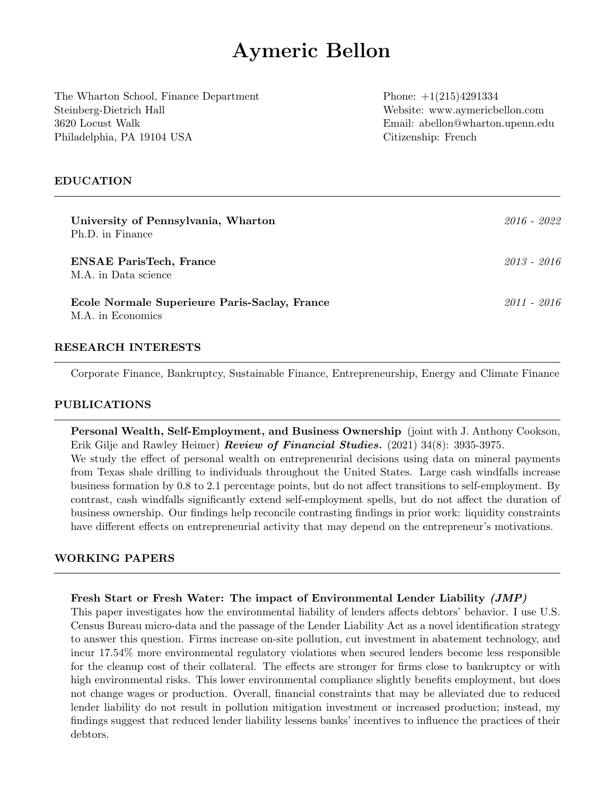# Aymeric Bellon

The Wharton School, Finance Department Phone:  $+1(215)4291334$ Steinberg-Dietrich Hall Website: www.aymericbellon.com 3620 Locust Walk Email: abellon@wharton.upenn.edu Philadelphia, PA 19104 USA Citizenship: French

#### EDUCATION

| University of Pennsylvania, Wharton<br>Ph.D. in Finance            | 2016 - 2022 |
|--------------------------------------------------------------------|-------------|
| <b>ENSAE ParisTech, France</b><br>M.A. in Data science             | 2013 - 2016 |
| Ecole Normale Superieure Paris-Saclay, France<br>M.A. in Economics | 2011 - 2016 |

#### RESEARCH INTERESTS

Corporate Finance, Bankruptcy, Sustainable Finance, Entrepreneurship, Energy and Climate Finance

#### PUBLICATIONS

Personal Wealth, Self-Employment, and Business Ownership (joint with J. Anthony Cookson, Erik Gilje and Rawley Heimer) **Review of Financial Studies.** (2021)  $34(8)$ : 3935-3975. We study the effect of personal wealth on entrepreneurial decisions using data on mineral payments from Texas shale drilling to individuals throughout the United States. Large cash windfalls increase business formation by 0.8 to 2.1 percentage points, but do not affect transitions to self-employment. By contrast, cash windfalls significantly extend self-employment spells, but do not affect the duration of business ownership. Our findings help reconcile contrasting findings in prior work: liquidity constraints

# have different effects on entrepreneurial activity that may depend on the entrepreneur's motivations.

## WORKING PAPERS

#### Fresh Start or Fresh Water: The impact of Environmental Lender Liability (JMP)

This paper investigates how the environmental liability of lenders affects debtors' behavior. I use U.S. Census Bureau micro-data and the passage of the Lender Liability Act as a novel identification strategy to answer this question. Firms increase on-site pollution, cut investment in abatement technology, and incur 17.54% more environmental regulatory violations when secured lenders become less responsible for the cleanup cost of their collateral. The effects are stronger for firms close to bankruptcy or with high environmental risks. This lower environmental compliance slightly benefits employment, but does not change wages or production. Overall, financial constraints that may be alleviated due to reduced lender liability do not result in pollution mitigation investment or increased production; instead, my findings suggest that reduced lender liability lessens banks' incentives to influence the practices of their debtors.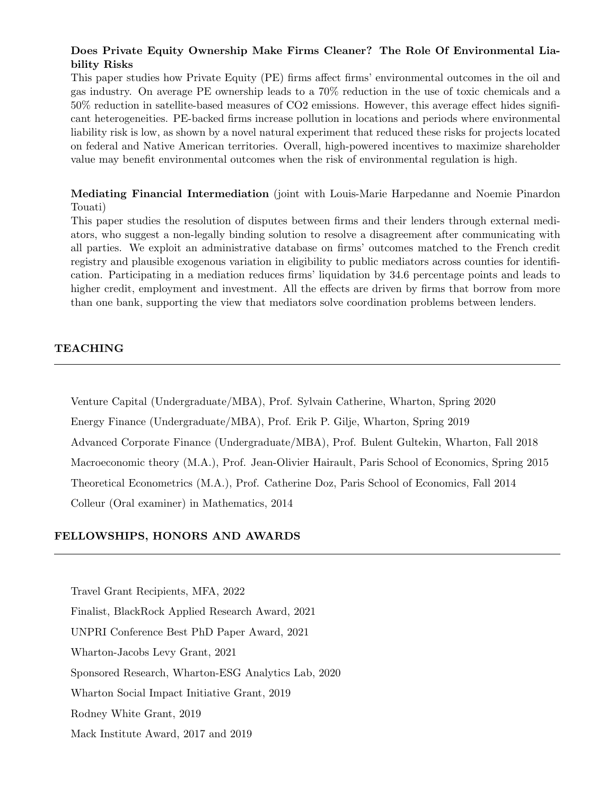# Does Private Equity Ownership Make Firms Cleaner? The Role Of Environmental Liability Risks

This paper studies how Private Equity (PE) firms affect firms' environmental outcomes in the oil and gas industry. On average PE ownership leads to a 70% reduction in the use of toxic chemicals and a 50% reduction in satellite-based measures of CO2 emissions. However, this average effect hides significant heterogeneities. PE-backed firms increase pollution in locations and periods where environmental liability risk is low, as shown by a novel natural experiment that reduced these risks for projects located on federal and Native American territories. Overall, high-powered incentives to maximize shareholder value may benefit environmental outcomes when the risk of environmental regulation is high.

Mediating Financial Intermediation (joint with Louis-Marie Harpedanne and Noemie Pinardon Touati)

This paper studies the resolution of disputes between firms and their lenders through external mediators, who suggest a non-legally binding solution to resolve a disagreement after communicating with all parties. We exploit an administrative database on firms' outcomes matched to the French credit registry and plausible exogenous variation in eligibility to public mediators across counties for identification. Participating in a mediation reduces firms' liquidation by 34.6 percentage points and leads to higher credit, employment and investment. All the effects are driven by firms that borrow from more than one bank, supporting the view that mediators solve coordination problems between lenders.

#### TEACHING

Venture Capital (Undergraduate/MBA), Prof. Sylvain Catherine, Wharton, Spring 2020 Energy Finance (Undergraduate/MBA), Prof. Erik P. Gilje, Wharton, Spring 2019 Advanced Corporate Finance (Undergraduate/MBA), Prof. Bulent Gultekin, Wharton, Fall 2018 Macroeconomic theory (M.A.), Prof. Jean-Olivier Hairault, Paris School of Economics, Spring 2015 Theoretical Econometrics (M.A.), Prof. Catherine Doz, Paris School of Economics, Fall 2014 Colleur (Oral examiner) in Mathematics, 2014

#### FELLOWSHIPS, HONORS AND AWARDS

Travel Grant Recipients, MFA, 2022 Finalist, BlackRock Applied Research Award, 2021 UNPRI Conference Best PhD Paper Award, 2021 Wharton-Jacobs Levy Grant, 2021 Sponsored Research, Wharton-ESG Analytics Lab, 2020 Wharton Social Impact Initiative Grant, 2019 Rodney White Grant, 2019 Mack Institute Award, 2017 and 2019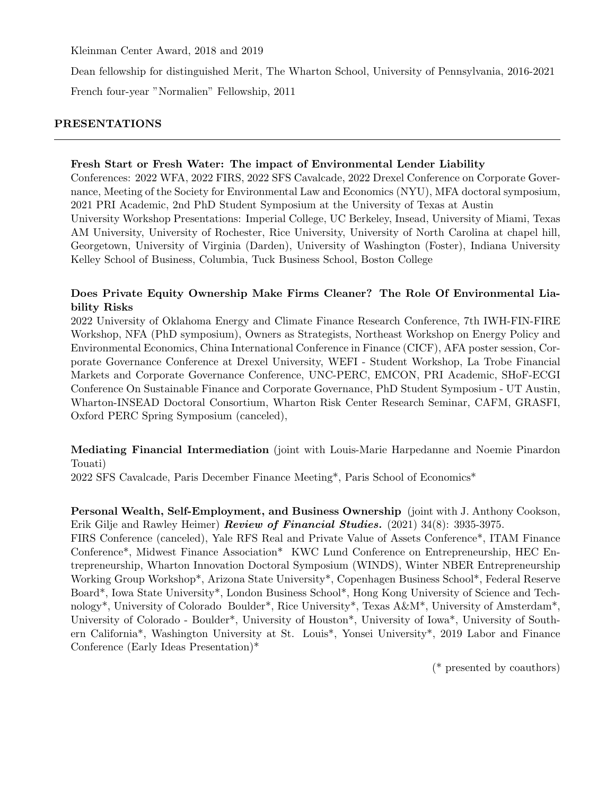Kleinman Center Award, 2018 and 2019

Dean fellowship for distinguished Merit, The Wharton School, University of Pennsylvania, 2016-2021

French four-year "Normalien" Fellowship, 2011

# PRESENTATIONS

# Fresh Start or Fresh Water: The impact of Environmental Lender Liability

Conferences: 2022 WFA, 2022 FIRS, 2022 SFS Cavalcade, 2022 Drexel Conference on Corporate Governance, Meeting of the Society for Environmental Law and Economics (NYU), MFA doctoral symposium, 2021 PRI Academic, 2nd PhD Student Symposium at the University of Texas at Austin University Workshop Presentations: Imperial College, UC Berkeley, Insead, University of Miami, Texas AM University, University of Rochester, Rice University, University of North Carolina at chapel hill, Georgetown, University of Virginia (Darden), University of Washington (Foster), Indiana University Kelley School of Business, Columbia, Tuck Business School, Boston College

# Does Private Equity Ownership Make Firms Cleaner? The Role Of Environmental Liability Risks

2022 University of Oklahoma Energy and Climate Finance Research Conference, 7th IWH-FIN-FIRE Workshop, NFA (PhD symposium), Owners as Strategists, Northeast Workshop on Energy Policy and Environmental Economics, China International Conference in Finance (CICF), AFA poster session, Corporate Governance Conference at Drexel University, WEFI - Student Workshop, La Trobe Financial Markets and Corporate Governance Conference, UNC-PERC, EMCON, PRI Academic, SHoF-ECGI Conference On Sustainable Finance and Corporate Governance, PhD Student Symposium - UT Austin, Wharton-INSEAD Doctoral Consortium, Wharton Risk Center Research Seminar, CAFM, GRASFI, Oxford PERC Spring Symposium (canceled),

Mediating Financial Intermediation (joint with Louis-Marie Harpedanne and Noemie Pinardon Touati)

2022 SFS Cavalcade, Paris December Finance Meeting\*, Paris School of Economics\*

# Personal Wealth, Self-Employment, and Business Ownership (joint with J. Anthony Cookson, Erik Gilje and Rawley Heimer) Review of Financial Studies. (2021) 34(8): 3935-3975.

FIRS Conference (canceled), Yale RFS Real and Private Value of Assets Conference\*, ITAM Finance Conference\*, Midwest Finance Association\* KWC Lund Conference on Entrepreneurship, HEC Entrepreneurship, Wharton Innovation Doctoral Symposium (WINDS), Winter NBER Entrepreneurship Working Group Workshop\*, Arizona State University\*, Copenhagen Business School\*, Federal Reserve Board\*, Iowa State University\*, London Business School\*, Hong Kong University of Science and Technology\*, University of Colorado Boulder\*, Rice University\*, Texas A&M\*, University of Amsterdam\*, University of Colorado - Boulder\*, University of Houston\*, University of Iowa\*, University of Southern California\*, Washington University at St. Louis\*, Yonsei University\*, 2019 Labor and Finance Conference (Early Ideas Presentation)\*

(\* presented by coauthors)